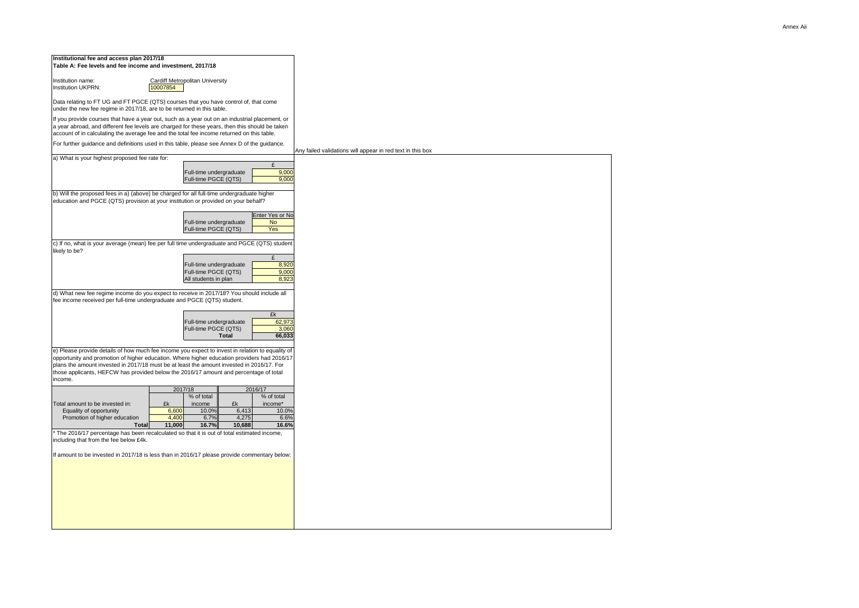

| Institutional fee and access plan 2017/18<br>Table A: Fee levels and fee income and investment, 2017/18                                                                                                                                                                                                                                                                                          |                |                                                        |                |                                            |                  |
|--------------------------------------------------------------------------------------------------------------------------------------------------------------------------------------------------------------------------------------------------------------------------------------------------------------------------------------------------------------------------------------------------|----------------|--------------------------------------------------------|----------------|--------------------------------------------|------------------|
| Institution name:<br><b>Institution UKPRN:</b>                                                                                                                                                                                                                                                                                                                                                   |                |                                                        |                |                                            |                  |
| Data relating to FT UG and FT PGCE (QTS) courses that you have control of, that come<br>under the new fee regime in 2017/18, are to be returned in this table.                                                                                                                                                                                                                                   |                |                                                        |                |                                            |                  |
| If you provide courses that have a year out, such as a year out on an industrial placement, or<br>a year abroad, and different fee levels are charged for these years, then this should be taken<br>account of in calculating the average fee and the total fee income returned on this table.                                                                                                   |                |                                                        |                |                                            |                  |
| For further guidance and definitions used in this table, please see Annex D of the guidance.                                                                                                                                                                                                                                                                                                     |                |                                                        |                |                                            |                  |
| a) What is your highest proposed fee rate for:                                                                                                                                                                                                                                                                                                                                                   |                |                                                        |                |                                            | Any failed valid |
|                                                                                                                                                                                                                                                                                                                                                                                                  |                | Full-time undergraduate<br>Full-time PGCE (QTS)        |                | £<br>9,000<br>9,000                        |                  |
| b) Will the proposed fees in a) (above) be charged for all full-time undergraduate higher<br>education and PGCE (QTS) provision at your institution or provided on your behalf?                                                                                                                                                                                                                  |                |                                                        |                |                                            |                  |
|                                                                                                                                                                                                                                                                                                                                                                                                  |                | Full-time undergraduate<br><b>Full-time PGCE (QTS)</b> |                | Enter Yes or No<br><b>No</b><br><b>Yes</b> |                  |
| c) If no, what is your average (mean) fee per full time undergraduate and PGCE (QTS) student<br>likely to be?                                                                                                                                                                                                                                                                                    |                |                                                        |                |                                            |                  |
|                                                                                                                                                                                                                                                                                                                                                                                                  |                |                                                        |                | £                                          |                  |
|                                                                                                                                                                                                                                                                                                                                                                                                  |                | Full-time undergraduate<br>Full-time PGCE (QTS)        |                | 8,920<br>9,000                             |                  |
|                                                                                                                                                                                                                                                                                                                                                                                                  |                | All students in plan                                   |                | 8,923                                      |                  |
| d) What new fee regime income do you expect to receive in 2017/18? You should include all<br>fee income received per full-time undergraduate and PGCE (QTS) student.                                                                                                                                                                                                                             |                |                                                        |                |                                            |                  |
|                                                                                                                                                                                                                                                                                                                                                                                                  |                |                                                        |                | £k                                         |                  |
|                                                                                                                                                                                                                                                                                                                                                                                                  |                | Full-time undergraduate<br>Full-time PGCE (QTS)        |                | 62,973<br>3,060                            |                  |
|                                                                                                                                                                                                                                                                                                                                                                                                  |                |                                                        | <b>Total</b>   | 66,033                                     |                  |
| e) Please provide details of how much fee income you expect to invest in relation to equality of<br>opportunity and promotion of higher education. Where higher education providers had 2016/17<br>plans the amount invested in 2017/18 must be at least the amount invested in 2016/17. For<br>those applicants, HEFCW has provided below the 2016/17 amount and percentage of total<br>income. |                |                                                        |                |                                            |                  |
|                                                                                                                                                                                                                                                                                                                                                                                                  | 2017/18        | % of total                                             |                | 2016/17<br>% of total                      |                  |
| Total amount to be invested in:                                                                                                                                                                                                                                                                                                                                                                  | £k             | income                                                 | £k             | income*                                    |                  |
| Equality of opportunity<br>Promotion of higher education                                                                                                                                                                                                                                                                                                                                         | 6,600<br>4,400 | 10.0%<br>6.7%                                          | 6,413<br>4,275 | 10.0%<br>6.6%                              |                  |
| <b>Total</b>                                                                                                                                                                                                                                                                                                                                                                                     | 11,000         | 16.7%                                                  | 10,688         | 16.6%                                      |                  |
| * The 2016/17 percentage has been recalculated so that it is out of total estimated income,<br>including that from the fee below £4k.<br>If amount to be invested in 2017/18 is less than in 2016/17 please provide commentary below:                                                                                                                                                            |                |                                                        |                |                                            |                  |
|                                                                                                                                                                                                                                                                                                                                                                                                  |                |                                                        |                |                                            |                  |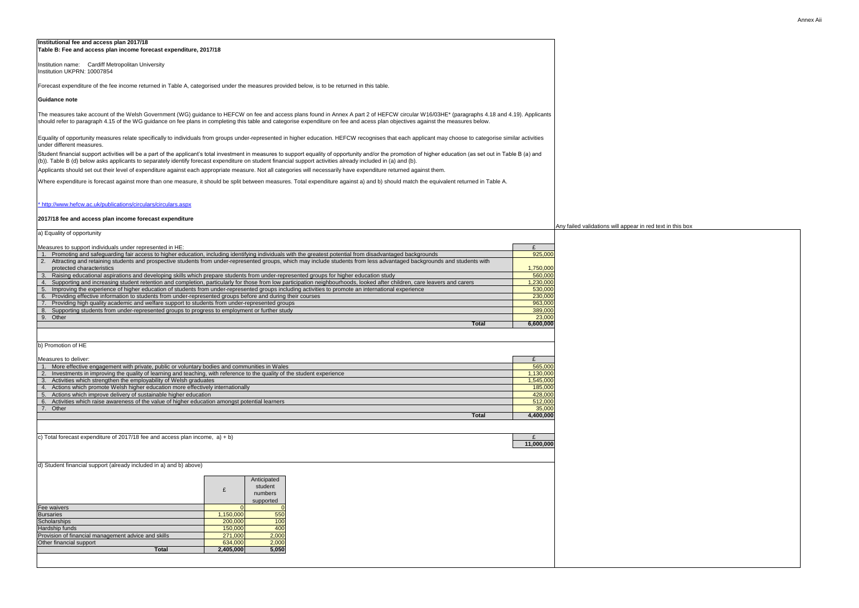#### **Institutional fee and access plan 2017/18 Table B: Fee and access plan income forecast expenditure, 2017/18**

#### **Guidance note**

#### [\\* http://www.hefcw.ac.uk/publications/circulars/circulars.aspx](http://www.hefcw.ac.uk/publications/circulars/circulars.aspx)

#### **2017/18 fee and access plan income forecast expenditure**

#### Measures to support individuals under represented in HE:

| Institutional fee and access plan 2017/18<br>Table B: Fee and access plan income forecast expenditure, 2017/18                                                                                                                                                                                                                                                                 |                         |                                                            |
|--------------------------------------------------------------------------------------------------------------------------------------------------------------------------------------------------------------------------------------------------------------------------------------------------------------------------------------------------------------------------------|-------------------------|------------------------------------------------------------|
| Institution name: Cardiff Metropolitan University<br>Institution UKPRN: 10007854                                                                                                                                                                                                                                                                                               |                         |                                                            |
| Forecast expenditure of the fee income returned in Table A, categorised under the measures provided below, is to be returned in this table.                                                                                                                                                                                                                                    |                         |                                                            |
| Guidance note                                                                                                                                                                                                                                                                                                                                                                  |                         |                                                            |
| The measures take account of the Welsh Government (WG) guidance to HEFCW on fee and access plans found in Annex A part 2 of HEFCW circular W16/03HE* (paragraphs 4.18 and 4.19). Applicants                                                                                                                                                                                    |                         |                                                            |
| should refer to paragraph 4.15 of the WG guidance on fee plans in completing this table and categorise expenditure on fee and acess plan objectives against the measures below.                                                                                                                                                                                                |                         |                                                            |
| Equality of opportunity measures relate specifically to individuals from groups under-represented in higher education. HEFCW recognises that each applicant may choose to categorise similar activities<br>under different measures.                                                                                                                                           |                         |                                                            |
| Student financial support activities will be a part of the applicant's total investment in measures to support equality of opportunity and/or the promotion of higher education (as set out in Table B (a) and<br>(b)). Table B (d) below asks applicants to separately identify forecast expenditure on student financial support activities already included in (a) and (b). |                         |                                                            |
| Applicants should set out their level of expenditure against each appropriate measure. Not all categories will necessarily have expenditure returned against them.                                                                                                                                                                                                             |                         |                                                            |
| Where expenditure is forecast against more than one measure, it should be split between measures. Total expenditure against a) and b) should match the equivalent returned in Table A.                                                                                                                                                                                         |                         |                                                            |
| * http://www.hefcw.ac.uk/publications/circulars/circulars.aspx                                                                                                                                                                                                                                                                                                                 |                         |                                                            |
| 2017/18 fee and access plan income forecast expenditure                                                                                                                                                                                                                                                                                                                        |                         |                                                            |
| a) Equality of opportunity                                                                                                                                                                                                                                                                                                                                                     |                         | Any failed validations will appear in red text in this box |
|                                                                                                                                                                                                                                                                                                                                                                                |                         |                                                            |
| Measures to support individuals under represented in HE:<br>1. Promoting and safeguarding fair access to higher education, including identifying individuals with the greatest potential from disadvantaged backgrounds                                                                                                                                                        | $\mathbf{r}$<br>925,000 |                                                            |
| 2. Attracting and retaining students and prospective students from under-represented groups, which may include students from less advantaged backgrounds and students with                                                                                                                                                                                                     |                         |                                                            |
| protected characteristics                                                                                                                                                                                                                                                                                                                                                      | 1,750,000               |                                                            |
| 3. Raising educational aspirations and developing skills which prepare students from under-represented groups for higher education study                                                                                                                                                                                                                                       | 560,000                 |                                                            |
| 4. Supporting and increasing student retention and completion, particularly for those from low participation neighbourhoods, looked after children, care leavers and carers                                                                                                                                                                                                    | 0.230,000               |                                                            |
| 5. Improving the experience of higher education of students from under-represented groups including activities to promote an international experience                                                                                                                                                                                                                          | 530,000                 |                                                            |
| 6. Providing effective information to students from under-represented groups before and during their courses                                                                                                                                                                                                                                                                   | 230,000                 |                                                            |
| 7. Providing high quality academic and welfare support to students from under-represented groups<br>8. Supporting students from under-represented groups to progress to employment or further study                                                                                                                                                                            | 963,000<br>389,000      |                                                            |
| 9. Other                                                                                                                                                                                                                                                                                                                                                                       | 23,000                  |                                                            |
| <b>Total</b>                                                                                                                                                                                                                                                                                                                                                                   | 6,600,000               |                                                            |
|                                                                                                                                                                                                                                                                                                                                                                                |                         |                                                            |
| b) Promotion of HE                                                                                                                                                                                                                                                                                                                                                             |                         |                                                            |
|                                                                                                                                                                                                                                                                                                                                                                                |                         |                                                            |
| Measures to deliver:                                                                                                                                                                                                                                                                                                                                                           |                         |                                                            |
| 1. More effective engagement with private, public or voluntary bodies and communities in Wales                                                                                                                                                                                                                                                                                 | 565,000                 |                                                            |
| 2. Investments in improving the quality of learning and teaching, with reference to the quality of the student experience                                                                                                                                                                                                                                                      | 1,130,000               |                                                            |
| 3. Activities which strengthen the employability of Welsh graduates<br>4. Actions which promote Welsh higher education more effectively internationally                                                                                                                                                                                                                        | 1,545,000<br>185,000    |                                                            |
| 5. Actions which improve delivery of sustainable higher education                                                                                                                                                                                                                                                                                                              | 428,000                 |                                                            |
| 6. Activities which raise awareness of the value of higher education amongst potential learners                                                                                                                                                                                                                                                                                | 512,000                 |                                                            |
| 7. Other                                                                                                                                                                                                                                                                                                                                                                       | 35,000                  |                                                            |
| <b>Total</b>                                                                                                                                                                                                                                                                                                                                                                   | 4,400,000               |                                                            |
|                                                                                                                                                                                                                                                                                                                                                                                |                         |                                                            |
| c) Total forecast expenditure of 2017/18 fee and access plan income, $a$ ) + b)                                                                                                                                                                                                                                                                                                |                         |                                                            |
|                                                                                                                                                                                                                                                                                                                                                                                | 11,000,000              |                                                            |
| d) Student financial support (already included in a) and b) above)                                                                                                                                                                                                                                                                                                             |                         |                                                            |
|                                                                                                                                                                                                                                                                                                                                                                                |                         |                                                            |
| Anticipated                                                                                                                                                                                                                                                                                                                                                                    |                         |                                                            |
| student                                                                                                                                                                                                                                                                                                                                                                        |                         |                                                            |
| numbers                                                                                                                                                                                                                                                                                                                                                                        |                         |                                                            |
| supported                                                                                                                                                                                                                                                                                                                                                                      |                         |                                                            |
| Fee waivers<br><b>Bursaries</b><br>150,000<br>550                                                                                                                                                                                                                                                                                                                              |                         |                                                            |
| <b>Scholarships</b><br>100<br>200,000                                                                                                                                                                                                                                                                                                                                          |                         |                                                            |
| 400<br>Hardship funds<br>150,000                                                                                                                                                                                                                                                                                                                                               |                         |                                                            |
| 2,000<br>Provision of financial management advice and skills<br>271,000                                                                                                                                                                                                                                                                                                        |                         |                                                            |
| 2,000<br>Other financial support<br>634,000<br>$E$ $\Omega E$<br>2.40500                                                                                                                                                                                                                                                                                                       |                         |                                                            |
| $T = 1 - 1$                                                                                                                                                                                                                                                                                                                                                                    |                         |                                                            |

### b) Promotion of HE

- 4. Actions which promote Welsh higher education more effectively internationally
- 5. Actions which improve delivery of sustainable higher education

|                                                     | £         | Anticipated<br>student<br>numbers<br>supported |  |  |
|-----------------------------------------------------|-----------|------------------------------------------------|--|--|
| <b>Fee waivers</b>                                  |           |                                                |  |  |
| <b>Bursaries</b>                                    | 1,150,000 | 550                                            |  |  |
| Scholarships                                        | 200,000   | 100                                            |  |  |
| <b>Hardship funds</b>                               | 150,000   | 400                                            |  |  |
| Provision of financial management advice and skills | 271,000   | 2,000                                          |  |  |
| Other financial support                             | 634,000   | 2,000                                          |  |  |
| <b>Total</b>                                        | 2,405,000 | 5,050                                          |  |  |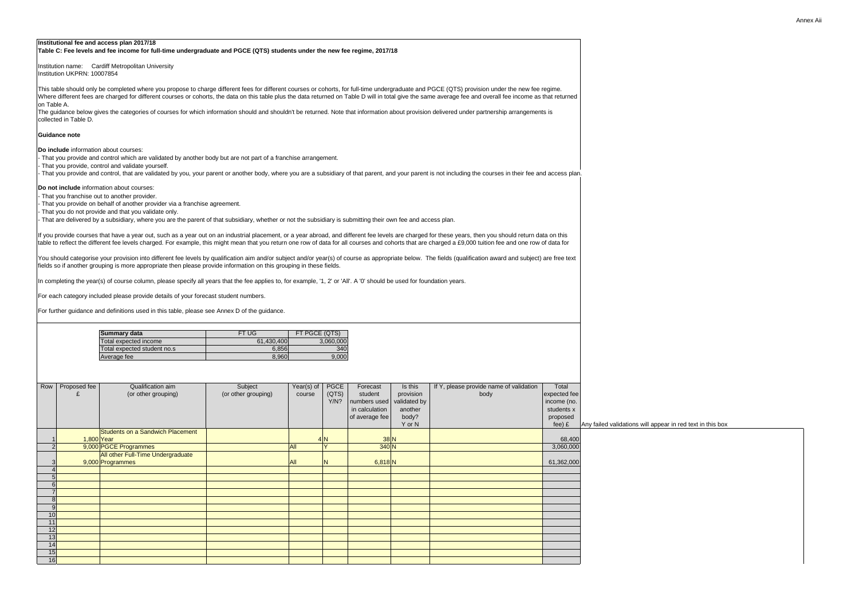#### **Institutional fee and access plan 2017/18 Table C: Fee levels and fee income for full-time undergraduate and PGCE (QTS) students under the new fee regime, 2017/18**

Institution name: Cardiff Metropolitan University Institution UKPRN: 10007854

- That you provide and control which are validated by another body but are not part of a franchise arrangement.
- That you provide, control and validate yourself.
- That you provide and control, that are validated by you, your parent or another body, where you are a subsidiary of that parent, and your parent is not including the course plane.

#### **Guidance note**

**Do include** information about courses:

**Do not include** information about courses:

| GCE (QTS) provision under the new fee regime.<br>average fee and overall fee income as that returned     |                           |                                                            |
|----------------------------------------------------------------------------------------------------------|---------------------------|------------------------------------------------------------|
| delivered under partnership arrangements is                                                              |                           |                                                            |
|                                                                                                          |                           |                                                            |
|                                                                                                          |                           |                                                            |
|                                                                                                          |                           |                                                            |
|                                                                                                          |                           |                                                            |
| not including the courses in their fee and access plan.                                                  |                           |                                                            |
|                                                                                                          |                           |                                                            |
|                                                                                                          |                           |                                                            |
|                                                                                                          |                           |                                                            |
|                                                                                                          |                           |                                                            |
| ss plan.                                                                                                 |                           |                                                            |
| r these years, then you should return data on this<br>arged a £9,000 tuition fee and one row of data for |                           |                                                            |
| e fields (qualification award and subject) are free text                                                 |                           |                                                            |
|                                                                                                          |                           |                                                            |
| ation years.                                                                                             |                           |                                                            |
|                                                                                                          |                           |                                                            |
|                                                                                                          |                           |                                                            |
|                                                                                                          |                           |                                                            |
|                                                                                                          |                           |                                                            |
|                                                                                                          |                           |                                                            |
|                                                                                                          |                           |                                                            |
|                                                                                                          |                           |                                                            |
|                                                                                                          |                           |                                                            |
| If Y, please provide name of validation                                                                  | Total                     |                                                            |
| body                                                                                                     | expected fee              |                                                            |
|                                                                                                          | income (no.<br>students x |                                                            |
|                                                                                                          | proposed                  |                                                            |
|                                                                                                          | $fee)$ £                  | Any failed validations will appear in red text in this box |
|                                                                                                          | 68,400                    |                                                            |
|                                                                                                          | 3,060,000                 |                                                            |
|                                                                                                          | 61,362,000                |                                                            |
|                                                                                                          |                           |                                                            |
|                                                                                                          |                           |                                                            |
|                                                                                                          |                           |                                                            |
|                                                                                                          |                           |                                                            |
|                                                                                                          |                           |                                                            |
|                                                                                                          |                           |                                                            |
|                                                                                                          |                           |                                                            |
|                                                                                                          |                           |                                                            |
|                                                                                                          |                           |                                                            |

- That you franchise out to another provider.
- That you provide on behalf of another provider via a franchise agreement.
- That you do not provide and that you validate only.
- That are delivered by a subsidiary, where you are the parent of that subsidiary, whether or not the subsidiary is submitting their own fee and access plan.

If you provide courses that have a year out, such as a year out on an industrial placement, or a year abroad, and different fee levels are charged for these ye table to reflect the different fee levels charged. For example, this might mean that you return one row of data for all courses and cohorts that are charged a £

This table should only be completed where you propose to charge different fees for different courses or cohorts, for full-time undergraduate and PGCE (QTS) Where different fees are charged for different courses or cohorts, the data on this table plus the data returned on Table D will in total give the same average to on Table A.

For each category included please provide details of your forecast student numbers.

You should categorise your provision into different fee levels by qualification aim and/or subject and/or year(s) of course as appropriate below. The fields (qu fields so if another grouping is more appropriate then please provide information on this grouping in these fields.

In completing the year(s) of course column, please specify all years that the fee applies to, for example, '1, 2' or 'All'. A '0' should be used for foundation year

For further guidance and definitions used in this table, please see Annex D of the guidance.

The guidance below gives the categories of courses for which information should and shouldn't be returned. Note that information about provision delivered collected in Table D.

| Row            | Proposed fee | Qualification aim                       | Subject             | Year(s) of       | <b>PGCE</b> | Forecast       | Is this      | If Y, please provide name of validation | Total        |
|----------------|--------------|-----------------------------------------|---------------------|------------------|-------------|----------------|--------------|-----------------------------------------|--------------|
|                |              | (or other grouping)                     | (or other grouping) | course           | (QTS)       | student        | provision    | body                                    | expected fee |
|                |              |                                         |                     |                  | Y/N?        | numbers used   | validated by |                                         | income (no.  |
|                |              |                                         |                     |                  |             | in calculation | another      |                                         | students x   |
|                |              |                                         |                     |                  |             | of average fee | body?        |                                         | proposed     |
|                |              |                                         |                     |                  |             |                | Y or N       |                                         | $fee)$ £     |
|                |              | <b>Students on a Sandwich Placement</b> |                     |                  |             |                |              |                                         |              |
|                | $1,800$ Year |                                         |                     |                  | 4N          | $38\vert N$    |              |                                         | 68,400       |
| 2 <sub>l</sub> |              | 9,000 PGCE Programmes                   |                     | $\overline{All}$ | $\vee$      | $340$ N        |              |                                         | 3,060,000    |
|                |              | All other Full-Time Undergraduate       |                     |                  |             |                |              |                                         |              |
| 3 <sup>l</sup> |              | 9,000 Programmes                        |                     | All              | N           | 6,818 N        |              |                                         | 61,362,000   |
| 4              |              |                                         |                     |                  |             |                |              |                                         |              |
| 5              |              |                                         |                     |                  |             |                |              |                                         |              |
| 6              |              |                                         |                     |                  |             |                |              |                                         |              |
|                |              |                                         |                     |                  |             |                |              |                                         |              |
| 8 <sup>1</sup> |              |                                         |                     |                  |             |                |              |                                         |              |
| 9              |              |                                         |                     |                  |             |                |              |                                         |              |
| 10             |              |                                         |                     |                  |             |                |              |                                         |              |
| 11             |              |                                         |                     |                  |             |                |              |                                         |              |
| 12             |              |                                         |                     |                  |             |                |              |                                         |              |
| 13             |              |                                         |                     |                  |             |                |              |                                         |              |
| 14             |              |                                         |                     |                  |             |                |              |                                         |              |
| 15             |              |                                         |                     |                  |             |                |              |                                         |              |
| 16             |              |                                         |                     |                  |             |                |              |                                         |              |

| Summary data                | FT UG      | <b>FT PGCE (QTS)</b> |
|-----------------------------|------------|----------------------|
| Total expected income       | 61,430,400 | 3,060,000            |
| Total expected student no.s | 6,856      | 340                  |
| Average fee                 | 8,960      | 9,000                |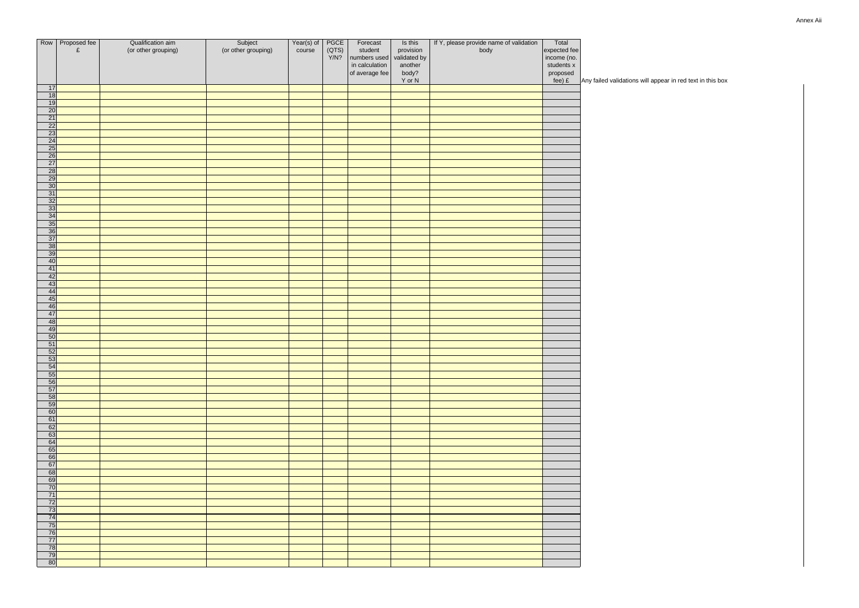|                                                                                                                             | Row   Proposed fee | Qualification aim   | Subject             | Year(s) of | PGCE  | Forecast                       | Is this      | If Y, please provide name of validation | Total              |                                                            |
|-----------------------------------------------------------------------------------------------------------------------------|--------------------|---------------------|---------------------|------------|-------|--------------------------------|--------------|-----------------------------------------|--------------------|------------------------------------------------------------|
|                                                                                                                             | £                  | (or other grouping) | (or other grouping) | course     | (QTS) | student                        | provision    | body                                    | expected fee       |                                                            |
|                                                                                                                             |                    |                     |                     |            | Y/N?  | numbers used                   | validated by |                                         | income (no.        |                                                            |
|                                                                                                                             |                    |                     |                     |            |       | in calculation                 | another      |                                         | students x         |                                                            |
|                                                                                                                             |                    |                     |                     |            |       | $\vert$ of average fee $\vert$ | body?        |                                         |                    |                                                            |
|                                                                                                                             |                    |                     |                     |            |       |                                | Y or N       |                                         | proposed<br>fee) £ | Any failed validations will appear in red text in this box |
| 17                                                                                                                          |                    |                     |                     |            |       |                                |              |                                         |                    |                                                            |
| $\overline{18}$                                                                                                             |                    |                     |                     |            |       |                                |              |                                         |                    |                                                            |
| 19                                                                                                                          |                    |                     |                     |            |       |                                |              |                                         |                    |                                                            |
| $\overline{20}$                                                                                                             |                    |                     |                     |            |       |                                |              |                                         |                    |                                                            |
| $\boxed{21}$                                                                                                                |                    |                     |                     |            |       |                                |              |                                         |                    |                                                            |
| $\overline{22}$                                                                                                             |                    |                     |                     |            |       |                                |              |                                         |                    |                                                            |
|                                                                                                                             |                    |                     |                     |            |       |                                |              |                                         |                    |                                                            |
|                                                                                                                             |                    |                     |                     |            |       |                                |              |                                         |                    |                                                            |
|                                                                                                                             |                    |                     |                     |            |       |                                |              |                                         |                    |                                                            |
|                                                                                                                             |                    |                     |                     |            |       |                                |              |                                         |                    |                                                            |
|                                                                                                                             |                    |                     |                     |            |       |                                |              |                                         |                    |                                                            |
|                                                                                                                             |                    |                     |                     |            |       |                                |              |                                         |                    |                                                            |
| $\begin{array}{r l}\n 23 \\ \hline\n 24 & 25 \\ \hline\n 26 & 27 \\ \hline\n 28 & 29 \\ \hline\n 30 & \n \end{array}$       |                    |                     |                     |            |       |                                |              |                                         |                    |                                                            |
|                                                                                                                             |                    |                     |                     |            |       |                                |              |                                         |                    |                                                            |
| $\overline{31}$                                                                                                             |                    |                     |                     |            |       |                                |              |                                         |                    |                                                            |
| 32                                                                                                                          |                    |                     |                     |            |       |                                |              |                                         |                    |                                                            |
| $\overline{33}$                                                                                                             |                    |                     |                     |            |       |                                |              |                                         |                    |                                                            |
| $\begin{array}{r} \hline 34 \\ \hline 35 \\ \hline 36 \end{array}$                                                          |                    |                     |                     |            |       |                                |              |                                         |                    |                                                            |
|                                                                                                                             |                    |                     |                     |            |       |                                |              |                                         |                    |                                                            |
|                                                                                                                             |                    |                     |                     |            |       |                                |              |                                         |                    |                                                            |
| $\begin{array}{r} \n \overline{\mathbf{37}} \\ 37 \\ \overline{\mathbf{38}} \\ 39 \\ \overline{\mathbf{40}} \\ \end{array}$ |                    |                     |                     |            |       |                                |              |                                         |                    |                                                            |
|                                                                                                                             |                    |                     |                     |            |       |                                |              |                                         |                    |                                                            |
|                                                                                                                             |                    |                     |                     |            |       |                                |              |                                         |                    |                                                            |
| $\overline{A}$                                                                                                              |                    |                     |                     |            |       |                                |              |                                         |                    |                                                            |
|                                                                                                                             |                    |                     |                     |            |       |                                |              |                                         |                    |                                                            |
| 42                                                                                                                          |                    |                     |                     |            |       |                                |              |                                         |                    |                                                            |
| 43                                                                                                                          |                    |                     |                     |            |       |                                |              |                                         |                    |                                                            |
| 44                                                                                                                          |                    |                     |                     |            |       |                                |              |                                         |                    |                                                            |
| 45                                                                                                                          |                    |                     |                     |            |       |                                |              |                                         |                    |                                                            |
| 46                                                                                                                          |                    |                     |                     |            |       |                                |              |                                         |                    |                                                            |
| 47                                                                                                                          |                    |                     |                     |            |       |                                |              |                                         |                    |                                                            |
| 48                                                                                                                          |                    |                     |                     |            |       |                                |              |                                         |                    |                                                            |
| 49                                                                                                                          |                    |                     |                     |            |       |                                |              |                                         |                    |                                                            |
| 50<br>51                                                                                                                    |                    |                     |                     |            |       |                                |              |                                         |                    |                                                            |
| 52                                                                                                                          |                    |                     |                     |            |       |                                |              |                                         |                    |                                                            |
| 53                                                                                                                          |                    |                     |                     |            |       |                                |              |                                         |                    |                                                            |
| 54                                                                                                                          |                    |                     |                     |            |       |                                |              |                                         |                    |                                                            |
| 55                                                                                                                          |                    |                     |                     |            |       |                                |              |                                         |                    |                                                            |
| 56                                                                                                                          |                    |                     |                     |            |       |                                |              |                                         |                    |                                                            |
| 57                                                                                                                          |                    |                     |                     |            |       |                                |              |                                         |                    |                                                            |
| 58                                                                                                                          |                    |                     |                     |            |       |                                |              |                                         |                    |                                                            |
| 59                                                                                                                          |                    |                     |                     |            |       |                                |              |                                         |                    |                                                            |
| 60                                                                                                                          |                    |                     |                     |            |       |                                |              |                                         |                    |                                                            |
| 61                                                                                                                          |                    |                     |                     |            |       |                                |              |                                         |                    |                                                            |
| 62                                                                                                                          |                    |                     |                     |            |       |                                |              |                                         |                    |                                                            |
| 63                                                                                                                          |                    |                     |                     |            |       |                                |              |                                         |                    |                                                            |
| 64                                                                                                                          |                    |                     |                     |            |       |                                |              |                                         |                    |                                                            |
| 65                                                                                                                          |                    |                     |                     |            |       |                                |              |                                         |                    |                                                            |
| 66                                                                                                                          |                    |                     |                     |            |       |                                |              |                                         |                    |                                                            |
| 67                                                                                                                          |                    |                     |                     |            |       |                                |              |                                         |                    |                                                            |
| 68                                                                                                                          |                    |                     |                     |            |       |                                |              |                                         |                    |                                                            |
| 69                                                                                                                          |                    |                     |                     |            |       |                                |              |                                         |                    |                                                            |
| $\overline{70}$                                                                                                             |                    |                     |                     |            |       |                                |              |                                         |                    |                                                            |
| 71                                                                                                                          |                    |                     |                     |            |       |                                |              |                                         |                    |                                                            |
| 72                                                                                                                          |                    |                     |                     |            |       |                                |              |                                         |                    |                                                            |
| 73                                                                                                                          |                    |                     |                     |            |       |                                |              |                                         |                    |                                                            |
| 74                                                                                                                          |                    |                     |                     |            |       |                                |              |                                         |                    |                                                            |
| 75                                                                                                                          |                    |                     |                     |            |       |                                |              |                                         |                    |                                                            |
| 76                                                                                                                          |                    |                     |                     |            |       |                                |              |                                         |                    |                                                            |
| 77                                                                                                                          |                    |                     |                     |            |       |                                |              |                                         |                    |                                                            |
| 78                                                                                                                          |                    |                     |                     |            |       |                                |              |                                         |                    |                                                            |
| 79                                                                                                                          |                    |                     |                     |            |       |                                |              |                                         |                    |                                                            |
| 80                                                                                                                          |                    |                     |                     |            |       |                                |              |                                         |                    |                                                            |
|                                                                                                                             |                    |                     |                     |            |       |                                |              |                                         |                    |                                                            |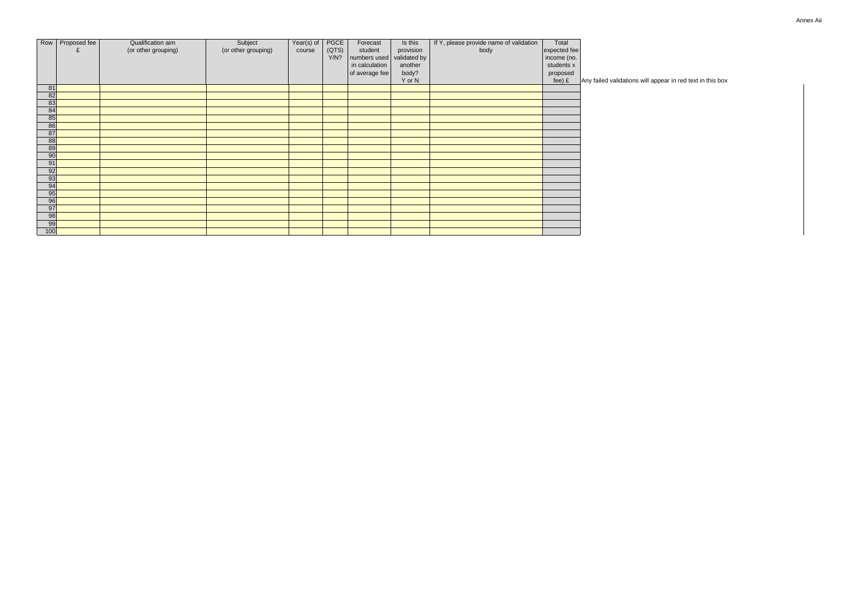| <b>Annex Aii</b> |
|------------------|
|------------------|

|                 | Row   Proposed fee | Qualification aim   | Subject             | Year(s) of | PGCE  | Forecast                  | Is this   | If Y, please provide name of validation | Total        |                                                            |
|-----------------|--------------------|---------------------|---------------------|------------|-------|---------------------------|-----------|-----------------------------------------|--------------|------------------------------------------------------------|
|                 | £                  | (or other grouping) | (or other grouping) | course     | (QTS) | student                   | provision | body                                    | expected fee |                                                            |
|                 |                    |                     |                     |            | Y/N?  | numbers used validated by |           |                                         | income (no.  |                                                            |
|                 |                    |                     |                     |            |       | in calculation            | another   |                                         | students x   |                                                            |
|                 |                    |                     |                     |            |       |                           |           |                                         |              |                                                            |
|                 |                    |                     |                     |            |       | of average fee            | body?     |                                         | proposed     |                                                            |
|                 |                    |                     |                     |            |       |                           | Y or N    |                                         | $fee)$ £     | Any failed validations will appear in red text in this box |
| 81              |                    |                     |                     |            |       |                           |           |                                         |              |                                                            |
| 82              |                    |                     |                     |            |       |                           |           |                                         |              |                                                            |
| 83              |                    |                     |                     |            |       |                           |           |                                         |              |                                                            |
| 84              |                    |                     |                     |            |       |                           |           |                                         |              |                                                            |
| 85              |                    |                     |                     |            |       |                           |           |                                         |              |                                                            |
| 86              |                    |                     |                     |            |       |                           |           |                                         |              |                                                            |
| 87              |                    |                     |                     |            |       |                           |           |                                         |              |                                                            |
| 88              |                    |                     |                     |            |       |                           |           |                                         |              |                                                            |
| 89              |                    |                     |                     |            |       |                           |           |                                         |              |                                                            |
| $\overline{90}$ |                    |                     |                     |            |       |                           |           |                                         |              |                                                            |
| 91              |                    |                     |                     |            |       |                           |           |                                         |              |                                                            |
| 92              |                    |                     |                     |            |       |                           |           |                                         |              |                                                            |
| 93              |                    |                     |                     |            |       |                           |           |                                         |              |                                                            |
| 94              |                    |                     |                     |            |       |                           |           |                                         |              |                                                            |
| 95              |                    |                     |                     |            |       |                           |           |                                         |              |                                                            |
| 96              |                    |                     |                     |            |       |                           |           |                                         |              |                                                            |
| 97              |                    |                     |                     |            |       |                           |           |                                         |              |                                                            |
| 98              |                    |                     |                     |            |       |                           |           |                                         |              |                                                            |
| 99              |                    |                     |                     |            |       |                           |           |                                         |              |                                                            |
| 100             |                    |                     |                     |            |       |                           |           |                                         |              |                                                            |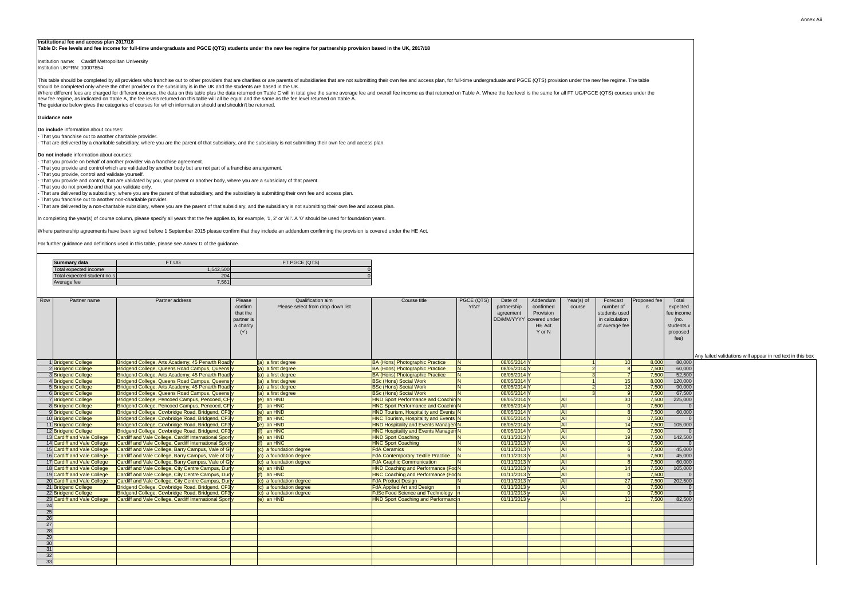Annex Aii

will appear in red text in this box

#### **Institutional fee and access plan 2017/18**

Institution name: Cardiff Metropolitan University Institution UKPRN: 10007854

This table should be completed by all providers who franchise out to other providers that are charities or are parents of subsidiaries that are not submitting their own fee and access plan, for full-time undergraduate and should be completed only where the other provider or the subsidiary is in the UK and the students are based in the UK. Where different fees are charged for different courses, the data on this table plus the data returned on Table C will in total give the same average fee and overall fee income as that returned on Table A. Where the fee lev

**Table D: Fee levels and fee income for full-time undergraduate and PGCE (QTS) students under the new fee regime for partnership provision based in the UK, 2017/18**

#### **Guidance note**

**Do include** information about courses:

- That you franchise out to another charitable provider.

- That are delivered by a charitable subsidiary, where you are the parent of that subsidiary, and the subsidiary is not submitting their own fee and access plan.

**Do not include** information about courses:

- That you provide on behalf of another provider via a franchise agreement.

- That you provide and control which are validated by another body but are not part of a franchise arrangement.

- That you provide, control and validate yourself.

- That you provide and control, that are validated by you, your parent or another body, where you are a subsidiary of that parent.

- That you do not provide and that you validate only. - That are delivered by a subsidiary, where you are the parent of that subsidiary, and the subsidiary is submitting their own fee and access plan.

- That you franchise out to another non-charitable provider.

- That are delivered by a non-charitable subsidiary, where you are the parent of that subsidiary, and the subsidiary is not submitting their own fee and access plan.

In completing the year(s) of course column, please specify all years that the fee applies to, for example, '1, 2' or 'All'. A '0' should be used for foundation years.

Where partnership agreements have been signed before 1 September 2015 please confirm that they include an addendum confirming the provision is covered under the HE Act.

For further guidance and definitions used in this table, please see Annex D of the guidance.

The guidance below gives the categories of courses for which information should and shouldn't be returned. new fee regime, as indicated on Table A, the fee levels returned on this table will all be equal and the same as the fee level returned on Table A.

| Row             | Partner name                                       | Partner address                                                                                            | Please<br>confirm<br>that the<br>partner is<br>a charity<br>$(\checkmark)$ | Qualification aim<br>Please select from drop down list | Course title                                                            | PGCE (QTS)<br>Y/N?      | Date of<br>partnership<br>agreement | Addendum<br>confirmed<br>Provision<br>DD/MM/YYYY   covered under<br><b>HE Act</b><br>Y or N | Year(s) of<br>course     | Forecast<br>number of<br>students used<br>in calculation<br>of average fee | Proposed fee   | Total<br>expected<br>fee income<br>(no.<br>students x<br>proposed |                          |
|-----------------|----------------------------------------------------|------------------------------------------------------------------------------------------------------------|----------------------------------------------------------------------------|--------------------------------------------------------|-------------------------------------------------------------------------|-------------------------|-------------------------------------|---------------------------------------------------------------------------------------------|--------------------------|----------------------------------------------------------------------------|----------------|-------------------------------------------------------------------|--------------------------|
|                 |                                                    |                                                                                                            |                                                                            |                                                        |                                                                         |                         |                                     |                                                                                             |                          |                                                                            |                | fee)                                                              | Any failed validations w |
|                 | <b>Bridgend College</b>                            | Bridgend College, Arts Academy, 45 Penarth Road y                                                          |                                                                            | $(a)$ a first degree                                   | <b>BA (Hons) Photographic Practice</b>                                  |                         | 08/05/2014 Y                        |                                                                                             |                          | 10 <sup>1</sup>                                                            | 8,000          | 80,000                                                            |                          |
|                 | 2 Bridgend College                                 | Bridgend College, Queens Road Campus, Queens y                                                             |                                                                            | $(a)$ a first degree                                   | <b>BA (Hons) Photographic Practice</b>                                  |                         | 08/05/2014 Y                        |                                                                                             |                          |                                                                            | 7,500          | 60,000                                                            |                          |
|                 | <b>3</b> Bridgend College                          | Bridgend College, Arts Academy, 45 Penarth Road y                                                          |                                                                            | $(a)$ a first degree                                   | <b>BA (Hons) Photographic Practice</b>                                  |                         | 08/05/2014 Y                        |                                                                                             |                          |                                                                            | 7,500          | 52,500                                                            |                          |
|                 | 4 Bridgend College                                 | Bridgend College, Queens Road Campus, Queens y                                                             |                                                                            | $(a)$ a first degree                                   | <b>BSc (Hons) Social Work</b>                                           | $\overline{\mathsf{N}}$ | 08/05/2014 Y                        |                                                                                             |                          | 15                                                                         | 8,000          | 120,000                                                           |                          |
|                 | 5 Bridgend College                                 | Bridgend College, Arts Academy, 45 Penarth Road y                                                          |                                                                            | $(a)$ a first degree                                   | <b>BSc (Hons) Social Work</b>                                           | <b>N</b>                | 08/05/2014 Y                        |                                                                                             |                          | 12                                                                         | 7,500          | 90,000                                                            |                          |
|                 | 6 Bridgend College                                 | Bridgend College, Queens Road Campus, Queens y                                                             |                                                                            | $(a)$ a first degree                                   | <b>BSc (Hons) Social Work</b>                                           | <b>N</b>                | 08/05/2014 Y                        |                                                                                             |                          |                                                                            | 7,500          | 67,500                                                            |                          |
|                 | 7Bridgend College                                  | Bridgend College, Pencoed Campus, Pencoed, CF y                                                            |                                                                            | $(e)$ an HND                                           | <b>HND Sport Performance and Coachin N</b>                              |                         | 08/05/2014 Y                        |                                                                                             | <b>All</b>               | 30 <sup>2</sup>                                                            | 7,500          | 225,000                                                           |                          |
|                 | 8 Bridgend College                                 | Bridgend College, Pencoed Campus, Pencoed, CFly                                                            |                                                                            | an HNC                                                 | <b>HNC Sport Performance and Coachin N</b>                              |                         | 08/05/2014 Y                        |                                                                                             | All                      |                                                                            | 7,500          |                                                                   |                          |
|                 | 9 <b>Bridgend College</b>                          | Bridgend College, Cowbridge Road, Bridgend, CF3 y                                                          |                                                                            | $(e)$ an HND                                           | <b>HND Tourism, Hospitality and Events N</b>                            |                         | 08/05/2014 Y                        |                                                                                             | <b>All</b>               |                                                                            | 7,500<br>7,500 | 60,000                                                            |                          |
|                 | 10 Bridgend College                                | Bridgend College, Cowbridge Road, Bridgend, CF3y                                                           |                                                                            | an HNC                                                 | <b>HNC Tourism, Hospitality and Events N</b>                            |                         | 08/05/2014 Y                        |                                                                                             | <b>All</b>               | 14                                                                         | 7,500          |                                                                   |                          |
|                 | 11 Bridgend College                                | Bridgend College, Cowbridge Road, Bridgend, CF3 y                                                          |                                                                            | $(e)$ an HND<br>$(f)$ an HNC                           | <b>HND Hospitality and Events ManagemN</b>                              |                         | 08/05/2014 Y<br>08/05/2014 Y        |                                                                                             | <b>All</b><br><b>All</b> |                                                                            | 7,500          | 105,000                                                           |                          |
|                 | 12 Bridgend College<br>13 Cardiff and Vale College | Bridgend College, Cowbridge Road, Bridgend, CF3y<br>Cardiff and Vale College, Cardiff International Sporly |                                                                            | $(e)$ an HND                                           | <b>HNC Hospitality and Events ManagemN</b><br><b>HND Sport Coaching</b> |                         | 01/11/2013                          |                                                                                             | <b>All</b>               | 19                                                                         | 7,500          | 142,500                                                           |                          |
|                 | 14 Cardiff and Vale College                        | Cardiff and Vale College, Cardiff International Sporty                                                     |                                                                            | $(f)$ an HNC                                           | <b>HNC Sport Coaching</b>                                               | <b>N</b>                | 01/11/2013                          |                                                                                             | <b>All</b>               |                                                                            | 7,500          |                                                                   |                          |
|                 | 15 Cardiff and Vale College                        | Cardiff and Vale College, Barry Campus, Vale of Gly                                                        |                                                                            | (c) a foundation degree                                | <b>FdA Ceramics</b>                                                     | <b>N</b>                | 01/11/2013                          |                                                                                             | <b>All</b>               |                                                                            | 7,500          | 45,000                                                            |                          |
|                 | 16 Cardiff and Vale College                        | Cardiff and Vale College, Barry Campus, Vale of Gly                                                        |                                                                            | $(c)$ a foundation degree                              | <b>FdA Contemporary Textile Practice</b>                                |                         | 01/11/2013                          |                                                                                             | <b>All</b>               |                                                                            | 7,500          | 45,000                                                            |                          |
|                 | 17 Cardiff and Vale College                        | Cardiff and Vale College, Barry Campus, Vale of Gly                                                        |                                                                            | $(c)$ a foundation degree                              | <b>FdA Graphic Communication</b>                                        |                         | 01/11/2013                          |                                                                                             | <b>All</b>               |                                                                            | 7,500          | 60,000                                                            |                          |
|                 | 18 Cardiff and Vale College                        | Cardiff and Vale College, City Centre Campus, Duny                                                         |                                                                            | $(e)$ an HND                                           | <b>HND Coaching and Performance (FogN</b>                               |                         | 01/11/2013                          |                                                                                             | <b>All</b>               |                                                                            | 7,500          | 105,000                                                           |                          |
|                 | 19 Cardiff and Vale College                        | Cardiff and Vale College, City Centre Campus, Duny                                                         |                                                                            | $(f)$ an HNC                                           | <b>HNC Coaching and Performance (FooN</b>                               |                         | 01/11/2013                          |                                                                                             | <b>All</b>               |                                                                            | 7,500          |                                                                   |                          |
|                 | 20 Cardiff and Vale College                        | Cardiff and Vale College, City Centre Campus, Duny                                                         |                                                                            | $(c)$ a foundation degree                              | <b>FdA Product Design</b>                                               |                         | 01/11/2013                          |                                                                                             | All                      | 27                                                                         | 7,500          | 202,500                                                           |                          |
|                 | 21 Bridgend College                                | Bridgend College, Cowbridge Road, Bridgend, CF3y                                                           |                                                                            | $(c)$ a foundation degree                              | <b>FdA Applied Art and Design</b>                                       |                         | 01/11/2013                          |                                                                                             | <b>All</b>               |                                                                            | 7,500          |                                                                   |                          |
|                 | 22 Bridgend College                                | Bridgend College, Cowbridge Road, Bridgend, CF3y                                                           |                                                                            | $\vert$ (c) a foundation degree                        | $FIGSc$ Food Science and Technology $ n $                               |                         | 01/11/2013                          |                                                                                             | <b>All</b>               |                                                                            | 7,500          |                                                                   |                          |
|                 | 23 Cardiff and Vale College                        | Cardiff and Vale College, Cardiff International Sporty                                                     |                                                                            | $(e)$ an HND                                           | <b>HND Sport Coaching and Performanc</b> <sup>n</sup>                   |                         | 01/11/2013                          |                                                                                             | All                      | 11                                                                         | 7,500          | 82,500                                                            |                          |
| 24              |                                                    |                                                                                                            |                                                                            |                                                        |                                                                         |                         |                                     |                                                                                             |                          |                                                                            |                |                                                                   |                          |
| 25              |                                                    |                                                                                                            |                                                                            |                                                        |                                                                         |                         |                                     |                                                                                             |                          |                                                                            |                |                                                                   |                          |
| 26              |                                                    |                                                                                                            |                                                                            |                                                        |                                                                         |                         |                                     |                                                                                             |                          |                                                                            |                |                                                                   |                          |
| 27              |                                                    |                                                                                                            |                                                                            |                                                        |                                                                         |                         |                                     |                                                                                             |                          |                                                                            |                |                                                                   |                          |
| 28              |                                                    |                                                                                                            |                                                                            |                                                        |                                                                         |                         |                                     |                                                                                             |                          |                                                                            |                |                                                                   |                          |
| 29              |                                                    |                                                                                                            |                                                                            |                                                        |                                                                         |                         |                                     |                                                                                             |                          |                                                                            |                |                                                                   |                          |
| 30              |                                                    |                                                                                                            |                                                                            |                                                        |                                                                         |                         |                                     |                                                                                             |                          |                                                                            |                |                                                                   |                          |
| 31              |                                                    |                                                                                                            |                                                                            |                                                        |                                                                         |                         |                                     |                                                                                             |                          |                                                                            |                |                                                                   |                          |
| $\overline{32}$ |                                                    |                                                                                                            |                                                                            |                                                        |                                                                         |                         |                                     |                                                                                             |                          |                                                                            |                |                                                                   |                          |
| 33              |                                                    |                                                                                                            |                                                                            |                                                        |                                                                         |                         |                                     |                                                                                             |                          |                                                                            |                |                                                                   |                          |

| <b>Summary data</b>         | FT UG    | FT PGCE (QTS) |
|-----------------------------|----------|---------------|
| Total expected income       | ,542,500 |               |
| Total expected student no.s | 204      |               |
| Average fee                 | 7,561    |               |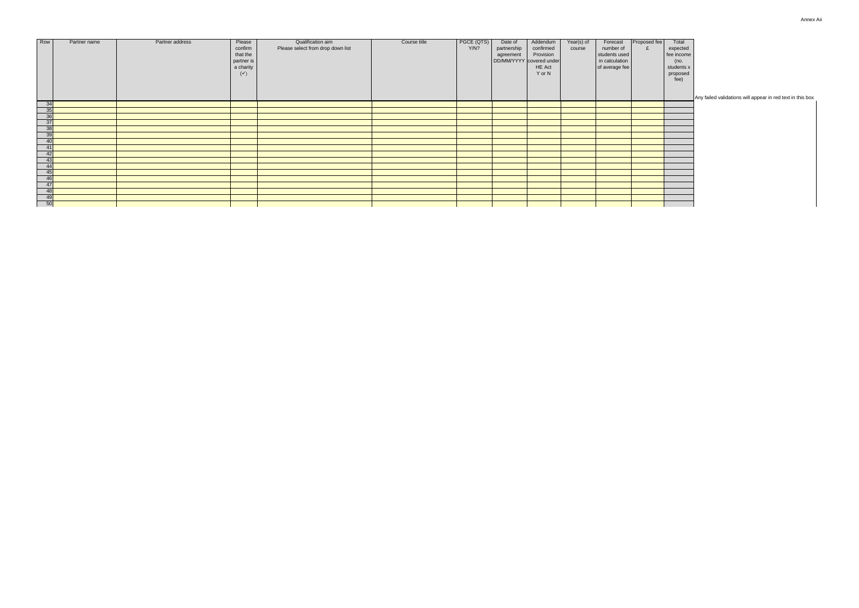Annex Aii

appear in red text in this box

| Row                         | Partner name | Partner address | Please<br>confirm<br>that the<br>partner is<br>a charity<br>$(\checkmark)$ | Qualification aim<br>Please select from drop down list | Course title | PGCE (QTS)<br>Y/N? | Date of<br>partnership<br>agreement | Addendum<br>confirmed<br>Provision<br>DD/MM/YYYY covered under<br><b>HE Act</b><br>Y or N | Year(s) of<br>course | Forecast<br>number of<br>students used<br>in calculation<br>of average fee | Proposed fee | Total<br>expected<br>fee income<br>(no.<br>students x<br>proposed<br>fee) |                               |
|-----------------------------|--------------|-----------------|----------------------------------------------------------------------------|--------------------------------------------------------|--------------|--------------------|-------------------------------------|-------------------------------------------------------------------------------------------|----------------------|----------------------------------------------------------------------------|--------------|---------------------------------------------------------------------------|-------------------------------|
|                             |              |                 |                                                                            |                                                        |              |                    |                                     |                                                                                           |                      |                                                                            |              |                                                                           | Any failed validations will a |
| $\frac{34}{35}$             |              |                 |                                                                            |                                                        |              |                    |                                     |                                                                                           |                      |                                                                            |              |                                                                           |                               |
|                             |              |                 |                                                                            |                                                        |              |                    |                                     |                                                                                           |                      |                                                                            |              |                                                                           |                               |
| $\overline{36}$             |              |                 |                                                                            |                                                        |              |                    |                                     |                                                                                           |                      |                                                                            |              |                                                                           |                               |
| $\overline{37}$             |              |                 |                                                                            |                                                        |              |                    |                                     |                                                                                           |                      |                                                                            |              |                                                                           |                               |
| $\overline{38}$             |              |                 |                                                                            |                                                        |              |                    |                                     |                                                                                           |                      |                                                                            |              |                                                                           |                               |
| $\overline{39}$             |              |                 |                                                                            |                                                        |              |                    |                                     |                                                                                           |                      |                                                                            |              |                                                                           |                               |
| 40                          |              |                 |                                                                            |                                                        |              |                    |                                     |                                                                                           |                      |                                                                            |              |                                                                           |                               |
| 41                          |              |                 |                                                                            |                                                        |              |                    |                                     |                                                                                           |                      |                                                                            |              |                                                                           |                               |
| 42                          |              |                 |                                                                            |                                                        |              |                    |                                     |                                                                                           |                      |                                                                            |              |                                                                           |                               |
| 43                          |              |                 |                                                                            |                                                        |              |                    |                                     |                                                                                           |                      |                                                                            |              |                                                                           |                               |
| 44                          |              |                 |                                                                            |                                                        |              |                    |                                     |                                                                                           |                      |                                                                            |              |                                                                           |                               |
| 45                          |              |                 |                                                                            |                                                        |              |                    |                                     |                                                                                           |                      |                                                                            |              |                                                                           |                               |
| 46                          |              |                 |                                                                            |                                                        |              |                    |                                     |                                                                                           |                      |                                                                            |              |                                                                           |                               |
| 47                          |              |                 |                                                                            |                                                        |              |                    |                                     |                                                                                           |                      |                                                                            |              |                                                                           |                               |
| 48                          |              |                 |                                                                            |                                                        |              |                    |                                     |                                                                                           |                      |                                                                            |              |                                                                           |                               |
| 49                          |              |                 |                                                                            |                                                        |              |                    |                                     |                                                                                           |                      |                                                                            |              |                                                                           |                               |
| $\overline{\phantom{0}}$ 50 |              |                 |                                                                            |                                                        |              |                    |                                     |                                                                                           |                      |                                                                            |              |                                                                           |                               |